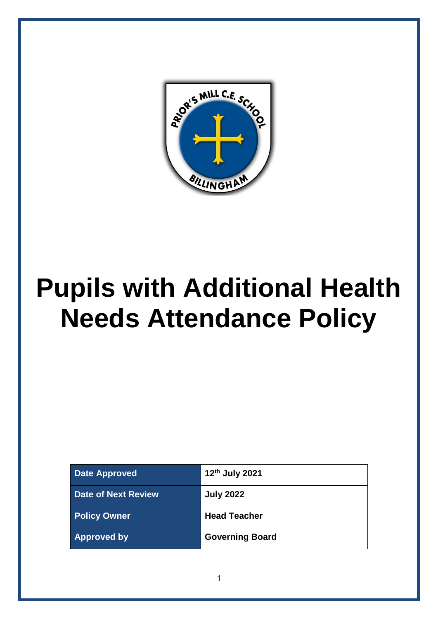

# **Pupils with Additional Health Needs Attendance Policy**

| <b>Date Approved</b>       | 12 <sup>th</sup> July 2021 |
|----------------------------|----------------------------|
| <b>Date of Next Review</b> | <b>July 2022</b>           |
| <b>Policy Owner</b>        | <b>Head Teacher</b>        |
| <b>Approved by</b>         | <b>Governing Board</b>     |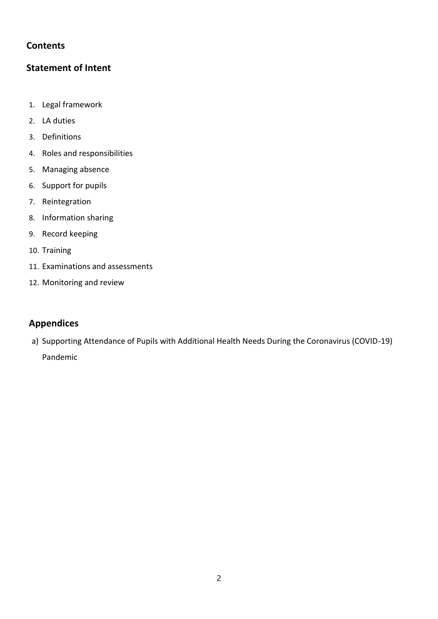## **Contents**

## **Statement of Intent**

- 1. Legal framework
- 2. LA duties
- 3. Definitions
- 4. Roles and responsibilities
- 5. Managing absence
- 6. Support for pupils
- 7. Reintegration
- 8. Information sharing
- 9. Record keeping
- 10. Training
- 11. Examinations and assessments
- 12. Monitoring and review

## **Appendices**

a) Supporting Attendance of Pupils with Additional Health Needs During the Coronavirus (COVID-19) Pandemic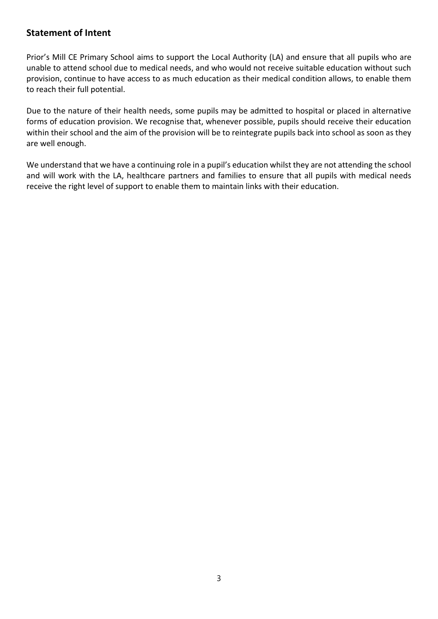## **Statement of Intent**

Prior's Mill CE Primary School aims to support the Local Authority (LA) and ensure that all pupils who are unable to attend school due to medical needs, and who would not receive suitable education without such provision, continue to have access to as much education as their medical condition allows, to enable them to reach their full potential.

Due to the nature of their health needs, some pupils may be admitted to hospital or placed in alternative forms of education provision. We recognise that, whenever possible, pupils should receive their education within their school and the aim of the provision will be to reintegrate pupils back into school as soon as they are well enough.

We understand that we have a continuing role in a pupil's education whilst they are not attending the school and will work with the LA, healthcare partners and families to ensure that all pupils with medical needs receive the right level of support to enable them to maintain links with their education.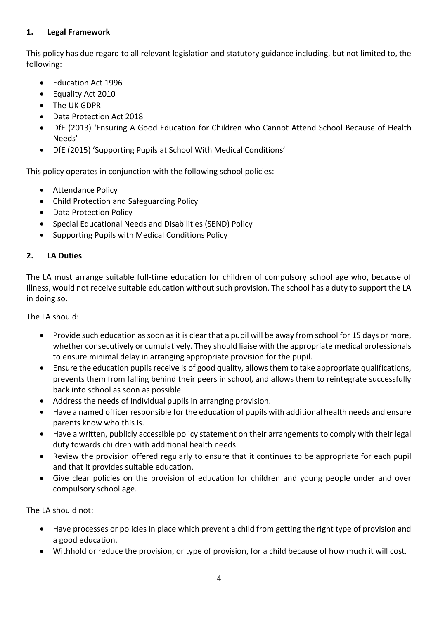#### **1. Legal Framework**

This policy has due regard to all relevant legislation and statutory guidance including, but not limited to, the following:

- Education Act 1996
- Equality Act 2010
- The UK GDPR
- Data Protection Act 2018
- DfE (2013) 'Ensuring A Good Education for Children who Cannot Attend School Because of Health Needs'
- DfE (2015) 'Supporting Pupils at School With Medical Conditions'

This policy operates in conjunction with the following school policies:

- Attendance Policy
- Child Protection and Safeguarding Policy
- Data Protection Policy
- Special Educational Needs and Disabilities (SEND) Policy
- Supporting Pupils with Medical Conditions Policy

#### **2. LA Duties**

The LA must arrange suitable full-time education for children of compulsory school age who, because of illness, would not receive suitable education without such provision. The school has a duty to support the LA in doing so.

The LA should:

- Provide such education as soon as it is clear that a pupil will be away from school for 15 days or more, whether consecutively or cumulatively. They should liaise with the appropriate medical professionals to ensure minimal delay in arranging appropriate provision for the pupil.
- Ensure the education pupils receive is of good quality, allows them to take appropriate qualifications, prevents them from falling behind their peers in school, and allows them to reintegrate successfully back into school as soon as possible.
- Address the needs of individual pupils in arranging provision.
- Have a named officer responsible for the education of pupils with additional health needs and ensure parents know who this is.
- Have a written, publicly accessible policy statement on their arrangements to comply with their legal duty towards children with additional health needs.
- Review the provision offered regularly to ensure that it continues to be appropriate for each pupil and that it provides suitable education.
- Give clear policies on the provision of education for children and young people under and over compulsory school age.

The LA should not:

- Have processes or policies in place which prevent a child from getting the right type of provision and a good education.
- Withhold or reduce the provision, or type of provision, for a child because of how much it will cost.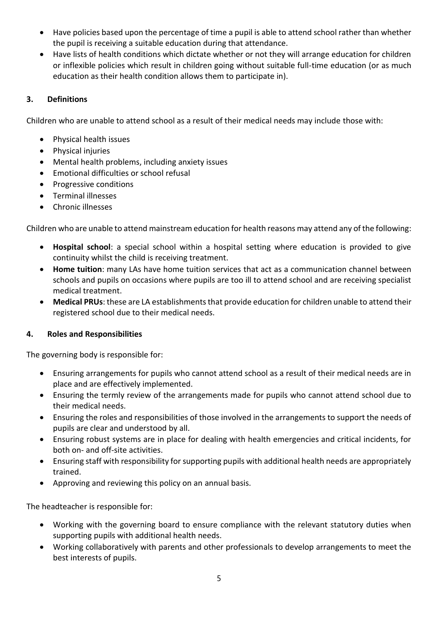- Have policies based upon the percentage of time a pupil is able to attend school rather than whether the pupil is receiving a suitable education during that attendance.
- Have lists of health conditions which dictate whether or not they will arrange education for children or inflexible policies which result in children going without suitable full-time education (or as much education as their health condition allows them to participate in).

## **3. Definitions**

Children who are unable to attend school as a result of their medical needs may include those with:

- Physical health issues
- Physical injuries
- Mental health problems, including anxiety issues
- Emotional difficulties or school refusal
- Progressive conditions
- Terminal illnesses
- Chronic illnesses

Children who are unable to attend mainstream education for health reasons may attend any of the following:

- **Hospital school**: a special school within a hospital setting where education is provided to give continuity whilst the child is receiving treatment.
- **Home tuition**: many LAs have home tuition services that act as a communication channel between schools and pupils on occasions where pupils are too ill to attend school and are receiving specialist medical treatment.
- **Medical PRUs**: these are LA establishments that provide education for children unable to attend their registered school due to their medical needs.

#### **4. Roles and Responsibilities**

The governing body is responsible for:

- Ensuring arrangements for pupils who cannot attend school as a result of their medical needs are in place and are effectively implemented.
- Ensuring the termly review of the arrangements made for pupils who cannot attend school due to their medical needs.
- Ensuring the roles and responsibilities of those involved in the arrangements to support the needs of pupils are clear and understood by all.
- Ensuring robust systems are in place for dealing with health emergencies and critical incidents, for both on- and off-site activities.
- Ensuring staff with responsibility for supporting pupils with additional health needs are appropriately trained.
- Approving and reviewing this policy on an annual basis.

The headteacher is responsible for:

- Working with the governing board to ensure compliance with the relevant statutory duties when supporting pupils with additional health needs.
- Working collaboratively with parents and other professionals to develop arrangements to meet the best interests of pupils.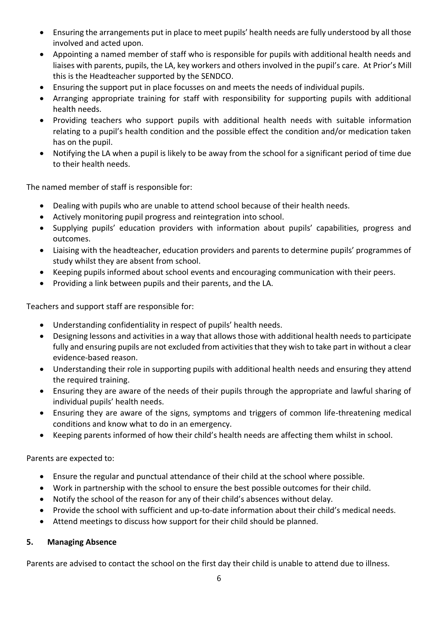- Ensuring the arrangements put in place to meet pupils' health needs are fully understood by all those involved and acted upon.
- Appointing a named member of staff who is responsible for pupils with additional health needs and liaises with parents, pupils, the LA, key workers and others involved in the pupil's care. At Prior's Mill this is the Headteacher supported by the SENDCO.
- Ensuring the support put in place focusses on and meets the needs of individual pupils.
- Arranging appropriate training for staff with responsibility for supporting pupils with additional health needs.
- Providing teachers who support pupils with additional health needs with suitable information relating to a pupil's health condition and the possible effect the condition and/or medication taken has on the pupil.
- Notifying the LA when a pupil is likely to be away from the school for a significant period of time due to their health needs.

The named member of staff is responsible for:

- Dealing with pupils who are unable to attend school because of their health needs.
- Actively monitoring pupil progress and reintegration into school.
- Supplying pupils' education providers with information about pupils' capabilities, progress and outcomes.
- Liaising with the headteacher, education providers and parents to determine pupils' programmes of study whilst they are absent from school.
- Keeping pupils informed about school events and encouraging communication with their peers.
- Providing a link between pupils and their parents, and the LA.

Teachers and support staff are responsible for:

- Understanding confidentiality in respect of pupils' health needs.
- Designing lessons and activities in a way that allows those with additional health needs to participate fully and ensuring pupils are not excluded from activities that they wish to take part in without a clear evidence-based reason.
- Understanding their role in supporting pupils with additional health needs and ensuring they attend the required training.
- Ensuring they are aware of the needs of their pupils through the appropriate and lawful sharing of individual pupils' health needs.
- Ensuring they are aware of the signs, symptoms and triggers of common life-threatening medical conditions and know what to do in an emergency.
- Keeping parents informed of how their child's health needs are affecting them whilst in school.

Parents are expected to:

- Ensure the regular and punctual attendance of their child at the school where possible.
- Work in partnership with the school to ensure the best possible outcomes for their child.
- Notify the school of the reason for any of their child's absences without delay.
- Provide the school with sufficient and up-to-date information about their child's medical needs.
- Attend meetings to discuss how support for their child should be planned.

## **5. Managing Absence**

Parents are advised to contact the school on the first day their child is unable to attend due to illness.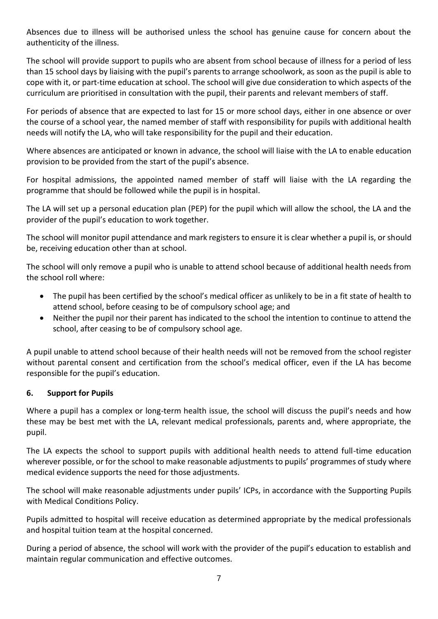Absences due to illness will be authorised unless the school has genuine cause for concern about the authenticity of the illness.

The school will provide support to pupils who are absent from school because of illness for a period of less than 15 school days by liaising with the pupil's parents to arrange schoolwork, as soon as the pupil is able to cope with it, or part-time education at school. The school will give due consideration to which aspects of the curriculum are prioritised in consultation with the pupil, their parents and relevant members of staff.

For periods of absence that are expected to last for 15 or more school days, either in one absence or over the course of a school year, the named member of staff with responsibility for pupils with additional health needs will notify the LA, who will take responsibility for the pupil and their education.

Where absences are anticipated or known in advance, the school will liaise with the LA to enable education provision to be provided from the start of the pupil's absence.

For hospital admissions, the appointed named member of staff will liaise with the LA regarding the programme that should be followed while the pupil is in hospital.

The LA will set up a personal education plan (PEP) for the pupil which will allow the school, the LA and the provider of the pupil's education to work together.

The school will monitor pupil attendance and mark registers to ensure it is clear whether a pupil is, or should be, receiving education other than at school.

The school will only remove a pupil who is unable to attend school because of additional health needs from the school roll where:

- The pupil has been certified by the school's medical officer as unlikely to be in a fit state of health to attend school, before ceasing to be of compulsory school age; and
- Neither the pupil nor their parent has indicated to the school the intention to continue to attend the school, after ceasing to be of compulsory school age.

A pupil unable to attend school because of their health needs will not be removed from the school register without parental consent and certification from the school's medical officer, even if the LA has become responsible for the pupil's education.

## **6. Support for Pupils**

Where a pupil has a complex or long-term health issue, the school will discuss the pupil's needs and how these may be best met with the LA, relevant medical professionals, parents and, where appropriate, the pupil.

The LA expects the school to support pupils with additional health needs to attend full-time education wherever possible, or for the school to make reasonable adjustments to pupils' programmes of study where medical evidence supports the need for those adjustments.

The school will make reasonable adjustments under pupils' ICPs, in accordance with the Supporting Pupils with Medical Conditions Policy.

Pupils admitted to hospital will receive education as determined appropriate by the medical professionals and hospital tuition team at the hospital concerned.

During a period of absence, the school will work with the provider of the pupil's education to establish and maintain regular communication and effective outcomes.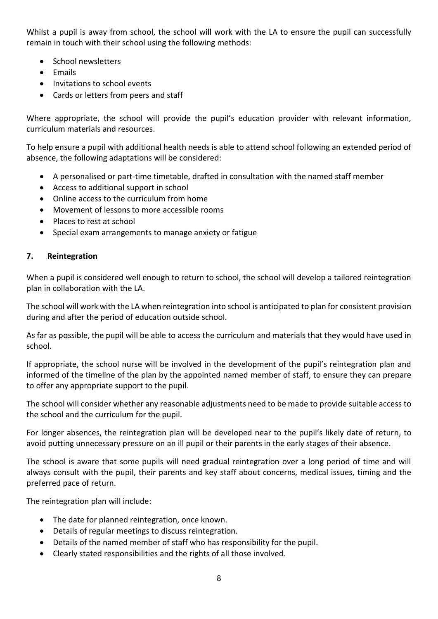Whilst a pupil is away from school, the school will work with the LA to ensure the pupil can successfully remain in touch with their school using the following methods:

- School newsletters
- Emails
- Invitations to school events
- Cards or letters from peers and staff

Where appropriate, the school will provide the pupil's education provider with relevant information, curriculum materials and resources.

To help ensure a pupil with additional health needs is able to attend school following an extended period of absence, the following adaptations will be considered:

- A personalised or part-time timetable, drafted in consultation with the named staff member
- Access to additional support in school
- Online access to the curriculum from home
- Movement of lessons to more accessible rooms
- Places to rest at school
- Special exam arrangements to manage anxiety or fatigue

#### **7. Reintegration**

When a pupil is considered well enough to return to school, the school will develop a tailored reintegration plan in collaboration with the LA.

The school will work with the LA when reintegration into school is anticipated to plan for consistent provision during and after the period of education outside school.

As far as possible, the pupil will be able to access the curriculum and materials that they would have used in school.

If appropriate, the school nurse will be involved in the development of the pupil's reintegration plan and informed of the timeline of the plan by the appointed named member of staff, to ensure they can prepare to offer any appropriate support to the pupil.

The school will consider whether any reasonable adjustments need to be made to provide suitable access to the school and the curriculum for the pupil.

For longer absences, the reintegration plan will be developed near to the pupil's likely date of return, to avoid putting unnecessary pressure on an ill pupil or their parents in the early stages of their absence.

The school is aware that some pupils will need gradual reintegration over a long period of time and will always consult with the pupil, their parents and key staff about concerns, medical issues, timing and the preferred pace of return.

The reintegration plan will include:

- The date for planned reintegration, once known.
- Details of regular meetings to discuss reintegration.
- Details of the named member of staff who has responsibility for the pupil.
- Clearly stated responsibilities and the rights of all those involved.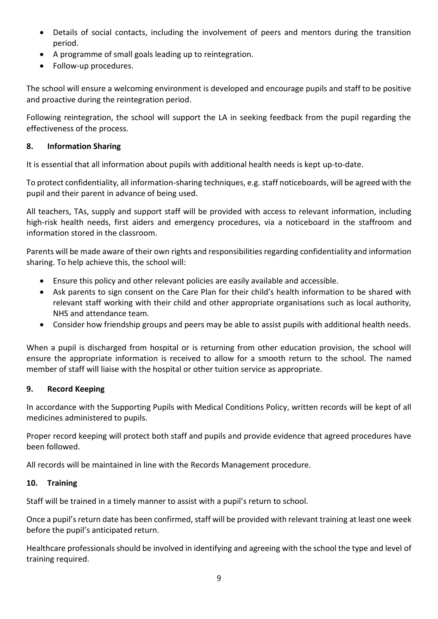- Details of social contacts, including the involvement of peers and mentors during the transition period.
- A programme of small goals leading up to reintegration.
- Follow-up procedures.

The school will ensure a welcoming environment is developed and encourage pupils and staff to be positive and proactive during the reintegration period.

Following reintegration, the school will support the LA in seeking feedback from the pupil regarding the effectiveness of the process.

#### **8. Information Sharing**

It is essential that all information about pupils with additional health needs is kept up-to-date.

To protect confidentiality, all information-sharing techniques, e.g. staff noticeboards, will be agreed with the pupil and their parent in advance of being used.

All teachers, TAs, supply and support staff will be provided with access to relevant information, including high-risk health needs, first aiders and emergency procedures, via a noticeboard in the staffroom and information stored in the classroom.

Parents will be made aware of their own rights and responsibilities regarding confidentiality and information sharing. To help achieve this, the school will:

- Ensure this policy and other relevant policies are easily available and accessible.
- Ask parents to sign consent on the Care Plan for their child's health information to be shared with relevant staff working with their child and other appropriate organisations such as local authority, NHS and attendance team.
- Consider how friendship groups and peers may be able to assist pupils with additional health needs.

When a pupil is discharged from hospital or is returning from other education provision, the school will ensure the appropriate information is received to allow for a smooth return to the school. The named member of staff will liaise with the hospital or other tuition service as appropriate.

#### **9. Record Keeping**

In accordance with the Supporting Pupils with Medical Conditions Policy, written records will be kept of all medicines administered to pupils.

Proper record keeping will protect both staff and pupils and provide evidence that agreed procedures have been followed.

All records will be maintained in line with the Records Management procedure.

#### **10. Training**

Staff will be trained in a timely manner to assist with a pupil's return to school.

Once a pupil's return date has been confirmed, staff will be provided with relevant training at least one week before the pupil's anticipated return.

Healthcare professionals should be involved in identifying and agreeing with the school the type and level of training required.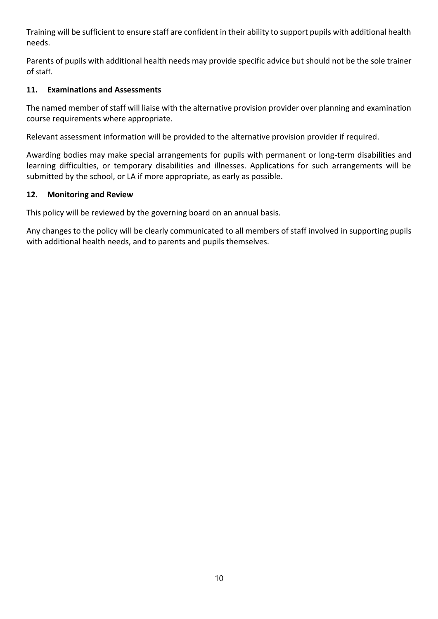Training will be sufficient to ensure staff are confident in their ability to support pupils with additional health needs.

Parents of pupils with additional health needs may provide specific advice but should not be the sole trainer of staff.

#### **11. Examinations and Assessments**

The named member of staff will liaise with the alternative provision provider over planning and examination course requirements where appropriate.

Relevant assessment information will be provided to the alternative provision provider if required.

Awarding bodies may make special arrangements for pupils with permanent or long-term disabilities and learning difficulties, or temporary disabilities and illnesses. Applications for such arrangements will be submitted by the school, or LA if more appropriate, as early as possible.

#### **12. Monitoring and Review**

This policy will be reviewed by the governing board on an annual basis.

Any changes to the policy will be clearly communicated to all members of staff involved in supporting pupils with additional health needs, and to parents and pupils themselves.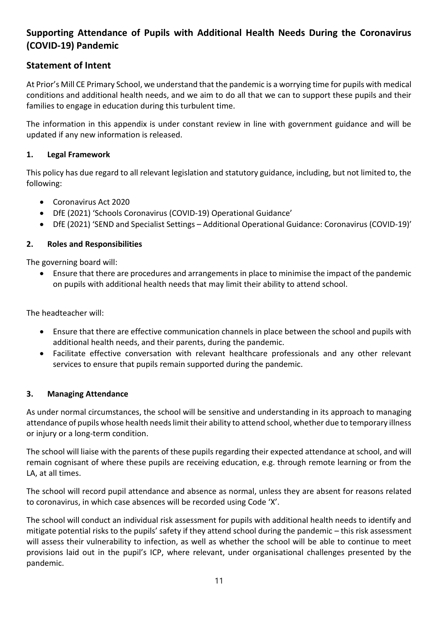# **Supporting Attendance of Pupils with Additional Health Needs During the Coronavirus (COVID-19) Pandemic**

## **Statement of Intent**

At Prior's Mill CE Primary School, we understand that the pandemic is a worrying time for pupils with medical conditions and additional health needs, and we aim to do all that we can to support these pupils and their families to engage in education during this turbulent time.

The information in this appendix is under constant review in line with government guidance and will be updated if any new information is released.

#### **1. Legal Framework**

This policy has due regard to all relevant legislation and statutory guidance, including, but not limited to, the following:

- Coronavirus Act 2020
- DfE (2021) 'Schools Coronavirus (COVID-19) Operational Guidance'
- DfE (2021) 'SEND and Specialist Settings Additional Operational Guidance: Coronavirus (COVID-19)'

#### **2. Roles and Responsibilities**

The governing board will:

• Ensure that there are procedures and arrangements in place to minimise the impact of the pandemic on pupils with additional health needs that may limit their ability to attend school.

The headteacher will:

- Ensure that there are effective communication channels in place between the school and pupils with additional health needs, and their parents, during the pandemic.
- Facilitate effective conversation with relevant healthcare professionals and any other relevant services to ensure that pupils remain supported during the pandemic.

#### **3. Managing Attendance**

As under normal circumstances, the school will be sensitive and understanding in its approach to managing attendance of pupils whose health needs limit their ability to attend school, whether due to temporary illness or injury or a long-term condition.

The school will liaise with the parents of these pupils regarding their expected attendance at school, and will remain cognisant of where these pupils are receiving education, e.g. through remote learning or from the LA, at all times.

The school will record pupil attendance and absence as normal, unless they are absent for reasons related to coronavirus, in which case absences will be recorded using Code 'X'.

The school will conduct an individual risk assessment for pupils with additional health needs to identify and mitigate potential risks to the pupils' safety if they attend school during the pandemic – this risk assessment will assess their vulnerability to infection, as well as whether the school will be able to continue to meet provisions laid out in the pupil's ICP, where relevant, under organisational challenges presented by the pandemic.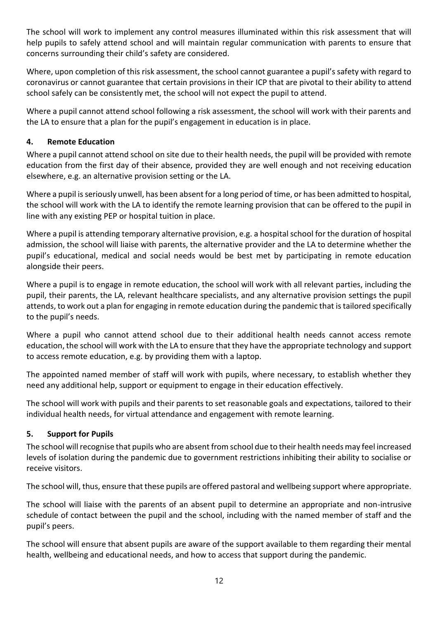The school will work to implement any control measures illuminated within this risk assessment that will help pupils to safely attend school and will maintain regular communication with parents to ensure that concerns surrounding their child's safety are considered.

Where, upon completion of this risk assessment, the school cannot guarantee a pupil's safety with regard to coronavirus or cannot guarantee that certain provisions in their ICP that are pivotal to their ability to attend school safely can be consistently met, the school will not expect the pupil to attend.

Where a pupil cannot attend school following a risk assessment, the school will work with their parents and the LA to ensure that a plan for the pupil's engagement in education is in place.

#### **4. Remote Education**

Where a pupil cannot attend school on site due to their health needs, the pupil will be provided with remote education from the first day of their absence, provided they are well enough and not receiving education elsewhere, e.g. an alternative provision setting or the LA.

Where a pupil is seriously unwell, has been absent for a long period of time, or has been admitted to hospital, the school will work with the LA to identify the remote learning provision that can be offered to the pupil in line with any existing PEP or hospital tuition in place.

Where a pupil is attending temporary alternative provision, e.g. a hospital school for the duration of hospital admission, the school will liaise with parents, the alternative provider and the LA to determine whether the pupil's educational, medical and social needs would be best met by participating in remote education alongside their peers.

Where a pupil is to engage in remote education, the school will work with all relevant parties, including the pupil, their parents, the LA, relevant healthcare specialists, and any alternative provision settings the pupil attends, to work out a plan for engaging in remote education during the pandemic that is tailored specifically to the pupil's needs.

Where a pupil who cannot attend school due to their additional health needs cannot access remote education, the school will work with the LA to ensure that they have the appropriate technology and support to access remote education, e.g. by providing them with a laptop.

The appointed named member of staff will work with pupils, where necessary, to establish whether they need any additional help, support or equipment to engage in their education effectively.

The school will work with pupils and their parents to set reasonable goals and expectations, tailored to their individual health needs, for virtual attendance and engagement with remote learning.

#### **5. Support for Pupils**

The school will recognise that pupils who are absent from school due to their health needs may feel increased levels of isolation during the pandemic due to government restrictions inhibiting their ability to socialise or receive visitors.

The school will, thus, ensure that these pupils are offered pastoral and wellbeing support where appropriate.

The school will liaise with the parents of an absent pupil to determine an appropriate and non-intrusive schedule of contact between the pupil and the school, including with the named member of staff and the pupil's peers.

The school will ensure that absent pupils are aware of the support available to them regarding their mental health, wellbeing and educational needs, and how to access that support during the pandemic.